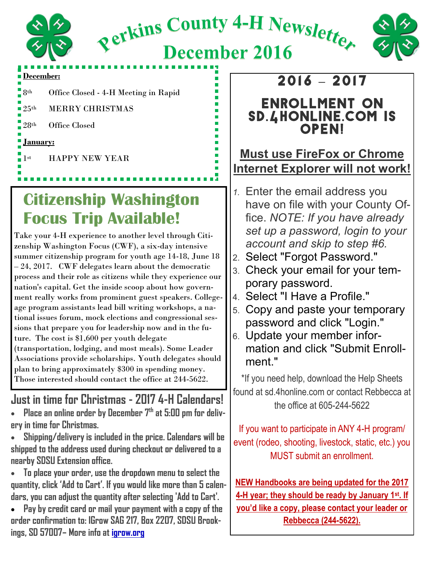

Rerkins County 4-H Newsletter



**December 2016** 

#### **December:**

8th Office Closed - 4-H Meeting in Rapid

25th MERRY CHRISTMAS

28th Office Closed

#### **January:**

1st HAPPY NEW YEAR

# **Citizenship Washington Focus Trip Available!**

Take your 4-H experience to another level through Citizenship Washington Focus (CWF), a six-day intensive summer citizenship program for youth age 14-18, June 18 – 24, 2017. CWF delegates learn about the democratic process and their role as citizens while they experience our nation's capital. Get the inside scoop about how government really works from prominent guest speakers. Collegeage program assistants lead bill writing workshops, a national issues forum, mock elections and congressional sessions that prepare you for leadership now and in the future. The cost is \$1,600 per youth delegate (transportation, lodging, and most meals). Some Leader Associations provide scholarships. Youth delegates should plan to bring approximately \$300 in spending money. Those interested should contact the office at 244-5622.

### **Just in time for Christmas - 2017 4-H Calendars!**

- **Place an online order by December 7th at 5:00 pm for delivery in time for Christmas.**
- **Shipping/delivery is included in the price. Calendars will be shipped to the address used during checkout or delivered to a nearby SDSU Extension office.**
- **To place your order, use the dropdown menu to select the quantity, click 'Add to Cart'. If you would like more than 5 calendars, you can adjust the quantity after selecting 'Add to Cart'.**
- **Pay by credit card or mail your payment with a copy of the order confirmation to: IGrow SAG 217, Box 2207, SDSU Brookings, SD 57007– More info at igrow.org**

## 2016 **–** 2017

#### Enrollment on sd.4honline.com is **OPEN!**

#### **Must use FireFox or Chrome Internet Explorer will not work!**

- *1.* Enter the email address you have on file with your County Office. *NOTE: If you have already set up a password, login to your account and skip to step #6.*
- 2. Select "Forgot Password."
- 3. Check your email for your temporary password.
- 4. Select "I Have a Profile."
- 5. Copy and paste your temporary password and click "Login."
- 6. Update your member information and click "Submit Enrollment."

\*If you need help, download the Help Sheets found at sd.4honline.com or contact Rebbecca at the office at 605-244-5622

If you want to participate in ANY 4-H program/ event (rodeo, shooting, livestock, static, etc.) you MUST submit an enrollment.

**NEW Handbooks are being updated for the 2017 4-H year; they should be ready by January 1st. If you'd like a copy, please contact your leader or Rebbecca (244-5622).**